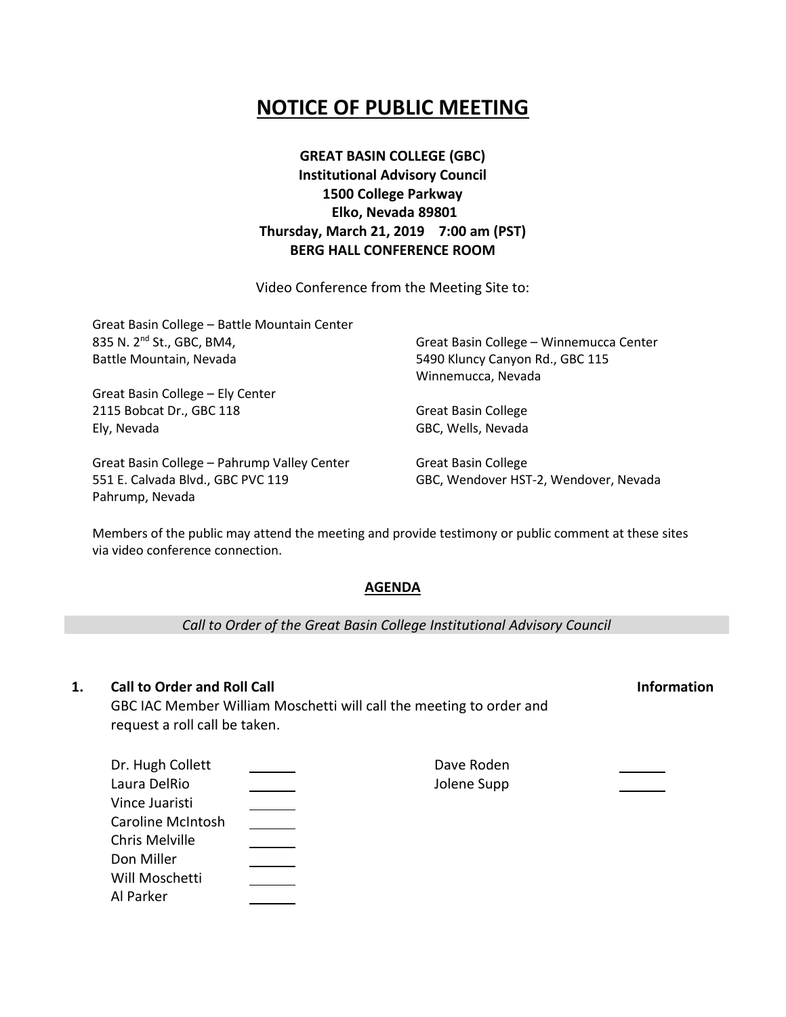## **NOTICE OF PUBLIC MEETING**

**GREAT BASIN COLLEGE (GBC) Institutional Advisory Council 1500 College Parkway Elko, Nevada 89801 Thursday, March 21, 2019 7:00 am (PST) BERG HALL CONFERENCE ROOM**

Video Conference from the Meeting Site to:

| Great Basin College - Battle Mountain Center |                                         |  |
|----------------------------------------------|-----------------------------------------|--|
| 835 N. 2 <sup>nd</sup> St., GBC, BM4,        | Great Basin College - Winnemucca Center |  |
| Battle Mountain, Nevada                      | 5490 Kluncy Canyon Rd., GBC 115         |  |
|                                              | Winnemucca, Nevada                      |  |
| Great Basin College - Ely Center             |                                         |  |
| 2115 Bobcat Dr., GBC 118                     | <b>Great Basin College</b>              |  |
| Ely, Nevada                                  | GBC, Wells, Nevada                      |  |
| Great Basin College - Pahrump Valley Center  | <b>Great Basin College</b>              |  |
| 551 E. Calvada Blvd., GBC PVC 119            | GBC, Wendover HST-2, Wendover, Nevada   |  |

Members of the public may attend the meeting and provide testimony or public comment at these sites via video conference connection.

## **AGENDA**

*Call to Order of the Great Basin College Institutional Advisory Council*

## **1. Call to Order and Roll Call Information**

Pahrump, Nevada

GBC IAC Member William Moschetti will call the meeting to order and request a roll call be taken.

| Dr. Hugh Collett  | Dave Roden  |  |
|-------------------|-------------|--|
| Laura DelRio      | Jolene Supp |  |
| Vince Juaristi    |             |  |
| Caroline McIntosh |             |  |
| Chris Melville    |             |  |
| Don Miller        |             |  |
| Will Moschetti    |             |  |
| Al Parker         |             |  |
|                   |             |  |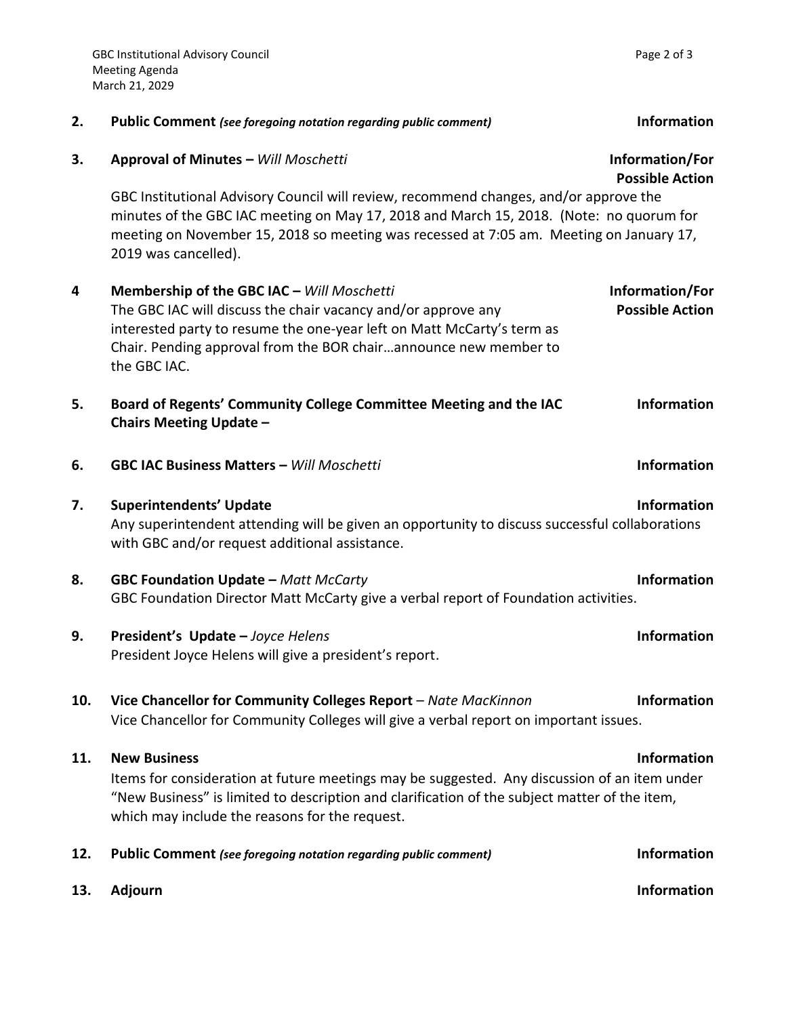|     |                                                                                                                                                                                                                                                                                                     | <b>Possible Action</b>                    |
|-----|-----------------------------------------------------------------------------------------------------------------------------------------------------------------------------------------------------------------------------------------------------------------------------------------------------|-------------------------------------------|
|     | GBC Institutional Advisory Council will review, recommend changes, and/or approve the<br>minutes of the GBC IAC meeting on May 17, 2018 and March 15, 2018. (Note: no quorum for<br>meeting on November 15, 2018 so meeting was recessed at 7:05 am. Meeting on January 17,<br>2019 was cancelled). |                                           |
| 4   | Membership of the GBC IAC - Will Moschetti<br>The GBC IAC will discuss the chair vacancy and/or approve any<br>interested party to resume the one-year left on Matt McCarty's term as<br>Chair. Pending approval from the BOR chairannounce new member to<br>the GBC IAC.                           | Information/For<br><b>Possible Action</b> |
| 5.  | Board of Regents' Community College Committee Meeting and the IAC<br><b>Chairs Meeting Update -</b>                                                                                                                                                                                                 | <b>Information</b>                        |
| 6.  | <b>GBC IAC Business Matters - Will Moschetti</b>                                                                                                                                                                                                                                                    | <b>Information</b>                        |
| 7.  | <b>Superintendents' Update</b><br>Any superintendent attending will be given an opportunity to discuss successful collaborations<br>with GBC and/or request additional assistance.                                                                                                                  | <b>Information</b>                        |
| 8.  | <b>GBC Foundation Update - Matt McCarty</b><br>GBC Foundation Director Matt McCarty give a verbal report of Foundation activities.                                                                                                                                                                  | <b>Information</b>                        |
| 9.  | President's Update - Joyce Helens<br>President Joyce Helens will give a president's report.                                                                                                                                                                                                         | <b>Information</b>                        |
| 10. | Vice Chancellor for Community Colleges Report - Nate MacKinnon<br>Vice Chancellor for Community Colleges will give a verbal report on important issues.                                                                                                                                             | <b>Information</b>                        |
| 11. | <b>New Business</b><br>Items for consideration at future meetings may be suggested. Any discussion of an item under<br>"New Business" is limited to description and clarification of the subject matter of the item,<br>which may include the reasons for the request.                              | <b>Information</b>                        |
| 12. | <b>Public Comment</b> (see foregoing notation regarding public comment)                                                                                                                                                                                                                             | <b>Information</b>                        |
| 13. | <b>Adjourn</b>                                                                                                                                                                                                                                                                                      | <b>Information</b>                        |

**2. Public Comment** *(see foregoing notation regarding public comment)* **Information**

**3. Approval of Minutes –** *Will Moschetti* **Information/For**